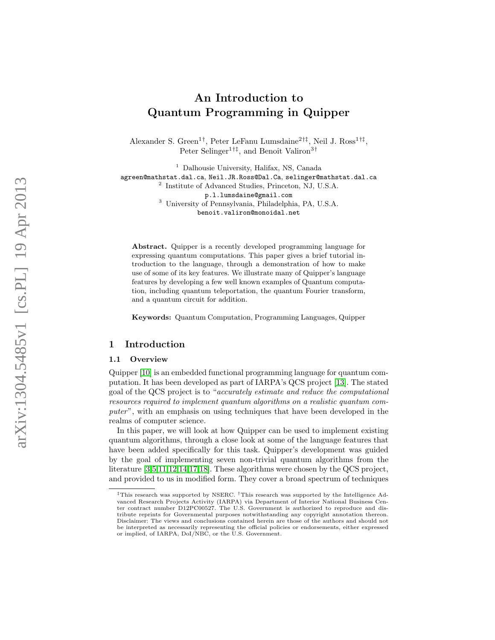# An Introduction to Quantum Programming in Quipper

Alexander S. Green<sup>1†</sup>, Peter LeFanu Lumsdaine<sup>2†‡</sup>, Neil J. Ross<sup>1†‡</sup>, Peter Selinger<sup>1†‡</sup>, and Benoît Valiron<sup>3†</sup>

<sup>1</sup> Dalhousie University, Halifax, NS, Canada

agreen@mathstat.dal.ca , Neil.JR.Ross@Dal.Ca , selinger@mathstat.dal.ca

<sup>2</sup> Institute of Advanced Studies, Princeton, NJ, U.S.A. p.l.lumsdaine@gmail.com

<sup>3</sup> University of Pennsylvania, Philadelphia, PA, U.S.A. benoit.valiron@monoidal.net

Abstract. Quipper is a recently developed programming language for expressing quantum computations. This paper gives a brief tutorial introduction to the language, through a demonstration of how to make use of some of its key features. We illustrate many of Quipper's language features by developing a few well known examples of Quantum computation, including quantum teleportation, the quantum Fourier transform, and a quantum circuit for addition.

Keywords: Quantum Computation, Programming Languages, Quipper

#### 1 Introduction

## 1.1 Overview

Quipper [\[10\]](#page-13-0) is an embedded functional programming language for quantum computation. It has been developed as part of IARPA's QCS project [\[13\]](#page-14-0). The stated goal of the QCS project is to "accurately estimate and reduce the computational resources required to implement quantum algorithms on a realistic quantum computer", with an emphasis on using techniques that have been developed in the realms of computer science.

In this paper, we will look at how Quipper can be used to implement existing quantum algorithms, through a close look at some of the language features that have been added specifically for this task. Quipper's development was guided by the goal of implementing seven non-trivial quantum algorithms from the literature [\[3](#page-13-1)[,5](#page-13-2)[,11,](#page-14-1)[12,](#page-14-2)[14](#page-14-3)[,17,](#page-14-4)[18\]](#page-14-5). These algorithms were chosen by the QCS project, and provided to us in modified form. They cover a broad spectrum of techniques

<sup>‡</sup>This research was supported by NSERC. †This research was supported by the Intelligence Advanced Research Projects Activity (IARPA) via Department of Interior National Business Cen-ter contract number D12PC00527. The U.S. Government is authorized to reproduce and distribute reprints for Governmental purposes notwithstanding any copyright annotation thereon. Disclaimer: The views and conclusions contained herein are those of the authors and should not be interpreted as necessarily representing the official policies or endorsements, either expressed or implied, of IARPA, DoI/NBC, or the U.S. Government.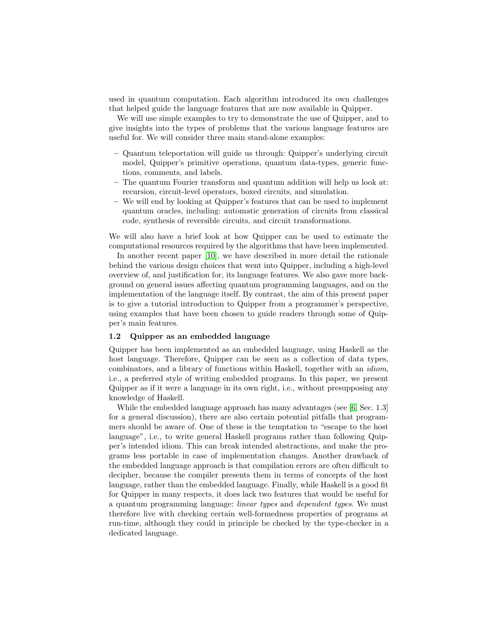used in quantum computation. Each algorithm introduced its own challenges that helped guide the language features that are now available in Quipper.

We will use simple examples to try to demonstrate the use of Quipper, and to give insights into the types of problems that the various language features are useful for. We will consider three main stand-alone examples:

- Quantum teleportation will guide us through: Quipper's underlying circuit model, Quipper's primitive operations, quantum data-types, generic functions, comments, and labels.
- The quantum Fourier transform and quantum addition will help us look at: recursion, circuit-level operators, boxed circuits, and simulation.
- We will end by looking at Quipper's features that can be used to implement quantum oracles, including: automatic generation of circuits from classical code, synthesis of reversible circuits, and circuit transformations.

We will also have a brief look at how Quipper can be used to estimate the computational resources required by the algorithms that have been implemented.

In another recent paper [\[10\]](#page-13-0), we have described in more detail the rationale behind the various design choices that went into Quipper, including a high-level overview of, and justification for, its language features. We also gave more background on general issues affecting quantum programming languages, and on the implementation of the language itself. By contrast, the aim of this present paper is to give a tutorial introduction to Quipper from a programmer's perspective, using examples that have been chosen to guide readers through some of Quipper's main features.

#### 1.2 Quipper as an embedded language

Quipper has been implemented as an embedded language, using Haskell as the host language. Therefore, Quipper can be seen as a collection of data types, combinators, and a library of functions within Haskell, together with an idiom, i.e., a preferred style of writing embedded programs. In this paper, we present Quipper as if it were a language in its own right, i.e., without presupposing any knowledge of Haskell.

While the embedded language approach has many advantages (see [\[6,](#page-13-3) Sec. 1.3] for a general discussion), there are also certain potential pitfalls that programmers should be aware of. One of these is the temptation to "escape to the host language", i.e., to write general Haskell programs rather than following Quipper's intended idiom. This can break intended abstractions, and make the programs less portable in case of implementation changes. Another drawback of the embedded language approach is that compilation errors are often difficult to decipher, because the compiler presents them in terms of concepts of the host language, rather than the embedded language. Finally, while Haskell is a good fit for Quipper in many respects, it does lack two features that would be useful for a quantum programming language: linear types and dependent types. We must therefore live with checking certain well-formedness properties of programs at run-time, although they could in principle be checked by the type-checker in a dedicated language.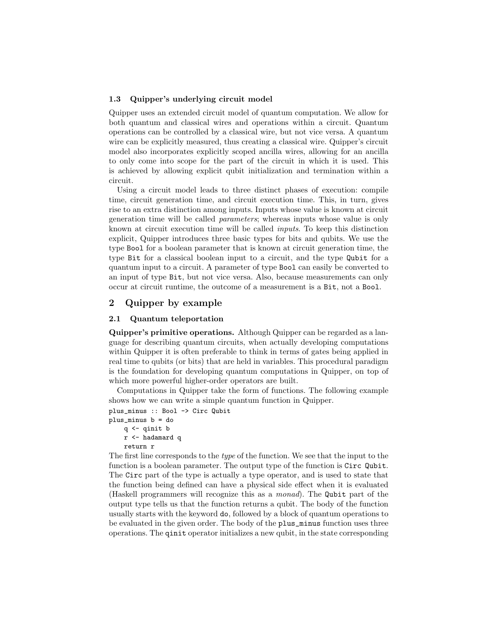#### 1.3 Quipper's underlying circuit model

Quipper uses an extended circuit model of quantum computation. We allow for both quantum and classical wires and operations within a circuit. Quantum operations can be controlled by a classical wire, but not vice versa. A quantum wire can be explicitly measured, thus creating a classical wire. Quipper's circuit model also incorporates explicitly scoped ancilla wires, allowing for an ancilla to only come into scope for the part of the circuit in which it is used. This is achieved by allowing explicit qubit initialization and termination within a circuit.

Using a circuit model leads to three distinct phases of execution: compile time, circuit generation time, and circuit execution time. This, in turn, gives rise to an extra distinction among inputs. Inputs whose value is known at circuit generation time will be called parameters; whereas inputs whose value is only known at circuit execution time will be called inputs. To keep this distinction explicit, Quipper introduces three basic types for bits and qubits. We use the type Bool for a boolean parameter that is known at circuit generation time, the type Bit for a classical boolean input to a circuit, and the type Qubit for a quantum input to a circuit. A parameter of type Bool can easily be converted to an input of type Bit, but not vice versa. Also, because measurements can only occur at circuit runtime, the outcome of a measurement is a Bit, not a Bool.

# 2 Quipper by example

#### 2.1 Quantum teleportation

Quipper's primitive operations. Although Quipper can be regarded as a language for describing quantum circuits, when actually developing computations within Quipper it is often preferable to think in terms of gates being applied in real time to qubits (or bits) that are held in variables. This procedural paradigm is the foundation for developing quantum computations in Quipper, on top of which more powerful higher-order operators are built.

Computations in Quipper take the form of functions. The following example shows how we can write a simple quantum function in Quipper.

```
plus_minus :: Bool -> Circ Qubit
plus_minus b = do
    q <- qinit b
    r <- hadamard q
    return r
```
The first line corresponds to the type of the function. We see that the input to the function is a boolean parameter. The output type of the function is Circ Qubit. The Circ part of the type is actually a type operator, and is used to state that the function being defined can have a physical side effect when it is evaluated (Haskell programmers will recognize this as a monad). The Qubit part of the output type tells us that the function returns a qubit. The body of the function usually starts with the keyword do, followed by a block of quantum operations to be evaluated in the given order. The body of the plus\_minus function uses three operations. The qinit operator initializes a new qubit, in the state corresponding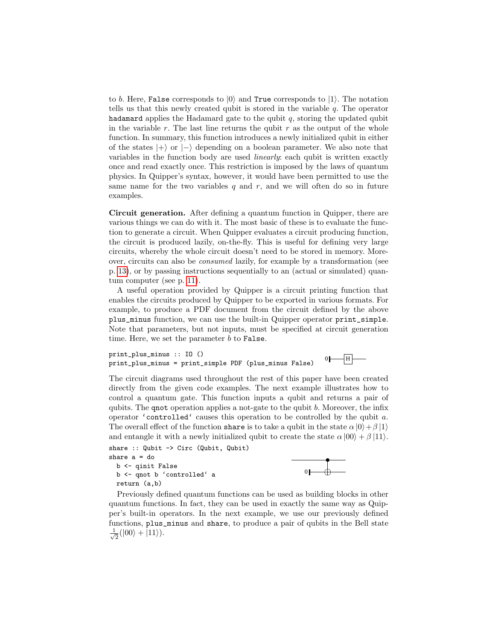to b. Here, False corresponds to  $|0\rangle$  and True corresponds to  $|1\rangle$ . The notation tells us that this newly created qubit is stored in the variable q. The operator hadamard applies the Hadamard gate to the qubit  $q$ , storing the updated qubit in the variable r. The last line returns the qubit r as the output of the whole function. In summary, this function introduces a newly initialized qubit in either of the states  $|+\rangle$  or  $|-\rangle$  depending on a boolean parameter. We also note that variables in the function body are used linearly: each qubit is written exactly once and read exactly once. This restriction is imposed by the laws of quantum physics. In Quipper's syntax, however, it would have been permitted to use the same name for the two variables q and r, and we will often do so in future examples.

Circuit generation. After defining a quantum function in Quipper, there are various things we can do with it. The most basic of these is to evaluate the function to generate a circuit. When Quipper evaluates a circuit producing function, the circuit is produced lazily, on-the-fly. This is useful for defining very large circuits, whereby the whole circuit doesn't need to be stored in memory. Moreover, circuits can also be consumed lazily, for example by a transformation (see p. [13\)](#page-12-0), or by passing instructions sequentially to an (actual or simulated) quantum computer (see p. [11\)](#page-10-0).

A useful operation provided by Quipper is a circuit printing function that enables the circuits produced by Quipper to be exported in various formats. For example, to produce a PDF document from the circuit defined by the above plus\_minus function, we can use the built-in Quipper operator print\_simple. Note that parameters, but not inputs, must be specified at circuit generation time. Here, we set the parameter  $b$  to False.

```
print_plus_minus :: IO ()
print_plus_minus = print_simple PDF (plus_minus False)
                                                                 0 \longrightarrow H
```
The circuit diagrams used throughout the rest of this paper have been created directly from the given code examples. The next example illustrates how to control a quantum gate. This function inputs a qubit and returns a pair of qubits. The qnot operation applies a not-gate to the qubit b. Moreover, the infix operator 'controlled' causes this operation to be controlled by the qubit a. The overall effect of the function share is to take a qubit in the state  $\alpha |0\rangle + \beta |1\rangle$ and entangle it with a newly initialized qubit to create the state  $\alpha |00\rangle + \beta |11\rangle$ .

share :: Qubit -> Circ (Qubit, Qubit) share a = do b <- qinit False b <- qnot b 'controlled' a return (a,b)



Previously defined quantum functions can be used as building blocks in other quantum functions. In fact, they can be used in exactly the same way as Quipper's built-in operators. In the next example, we use our previously defined functions, plus\_minus and share, to produce a pair of qubits in the Bell state  $\frac{1}{\sqrt{2}}$  $\frac{1}{2}(|00\rangle + |11\rangle).$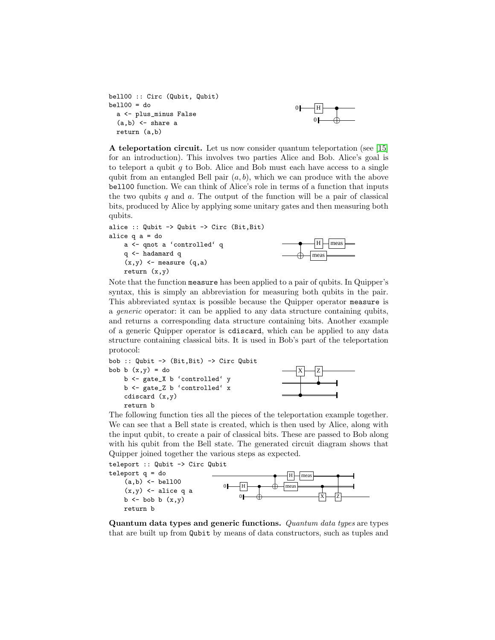```
bell00 :: Circ (Qubit, Qubit)
bel100 = doa <- plus_minus False
  (a,b) <- share a
 return (a,b)
```

$$
0 \longrightarrow
$$

A teleportation circuit. Let us now consider quantum teleportation (see [\[15\]](#page-14-6) for an introduction). This involves two parties Alice and Bob. Alice's goal is to teleport a qubit  $q$  to Bob. Alice and Bob must each have access to a single qubit from an entangled Bell pair  $(a, b)$ , which we can produce with the above bell00 function. We can think of Alice's role in terms of a function that inputs the two qubits  $q$  and  $\alpha$ . The output of the function will be a pair of classical bits, produced by Alice by applying some unitary gates and then measuring both qubits.

alice :: Qubit -> Qubit -> Circ (Bit, Bit) alice q a = do a <- qnot a 'controlled' q q <- hadamard q  $(x,y)$  <- measure  $(q,a)$ return  $(x,y)$ H meas meas

Note that the function measure has been applied to a pair of qubits. In Quipper's syntax, this is simply an abbreviation for measuring both qubits in the pair. This abbreviated syntax is possible because the Quipper operator measure is a generic operator: it can be applied to any data structure containing qubits, and returns a corresponding data structure containing bits. Another example of a generic Quipper operator is cdiscard, which can be applied to any data structure containing classical bits. It is used in Bob's part of the teleportation protocol:



The following function ties all the pieces of the teleportation example together. We can see that a Bell state is created, which is then used by Alice, along with the input qubit, to create a pair of classical bits. These are passed to Bob along with his qubit from the Bell state. The generated circuit diagram shows that Quipper joined together the various steps as expected.



Quantum data types and generic functions. Quantum data types are types that are built up from Qubit by means of data constructors, such as tuples and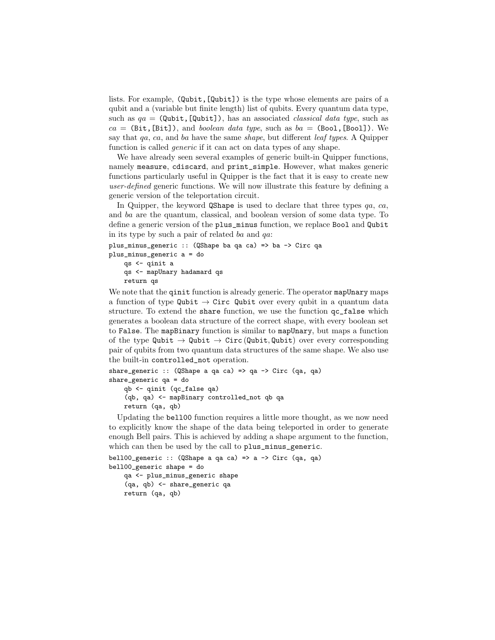lists. For example, (Qubit,[Qubit]) is the type whose elements are pairs of a qubit and a (variable but finite length) list of qubits. Every quantum data type, such as  $qa = (Qubit, [Qubit]),$  has an associated *classical data type*, such as  $ca = (Bit, [Bit]),$  and boolean data type, such as  $ba = (Bool, [Bool]).$  We say that  $qa$ ,  $ca$ , and  $ba$  have the same *shape*, but different *leaf types*. A Quipper function is called generic if it can act on data types of any shape.

We have already seen several examples of generic built-in Quipper functions, namely measure, cdiscard, and print\_simple. However, what makes generic functions particularly useful in Quipper is the fact that it is easy to create new user-defined generic functions. We will now illustrate this feature by defining a generic version of the teleportation circuit.

In Quipper, the keyword QShape is used to declare that three types  $qa, ca$ , and ba are the quantum, classical, and boolean version of some data type. To define a generic version of the plus\_minus function, we replace Bool and Qubit in its type by such a pair of related ba and  $qa$ .

```
plus_minus_generic :: (QShape ba qa ca) => ba -> Circ qa
plus_minus_generic a = do
    qs <- qinit a
    qs <- mapUnary hadamard qs
    return qs
```
We note that the qinit function is already generic. The operator mapUnary maps a function of type Qubit  $\rightarrow$  Circ Qubit over every qubit in a quantum data structure. To extend the share function, we use the function qc\_false which generates a boolean data structure of the correct shape, with every boolean set to False. The mapBinary function is similar to mapUnary, but maps a function of the type Qubit  $\rightarrow$  Qubit  $\rightarrow$  Circ (Qubit, Qubit) over every corresponding pair of qubits from two quantum data structures of the same shape. We also use the built-in controlled\_not operation.

```
share_generic :: (QShape a qa ca) => qa -> Circ (qa, qa)
share_generic qa = do
    qb <- qinit (qc_false qa)
    (qb, qa) <- mapBinary controlled_not qb qa
    return (qa, qb)
```
Updating the bell00 function requires a little more thought, as we now need to explicitly know the shape of the data being teleported in order to generate enough Bell pairs. This is achieved by adding a shape argument to the function, which can then be used by the call to plus\_minus\_generic.

```
bell00_generic :: (QShape a qa ca) => a -> Circ (qa, qa)
bell00_generic shape = do
    qa <- plus_minus_generic shape
    (qa, qb) <- share_generic qa
    return (qa, qb)
```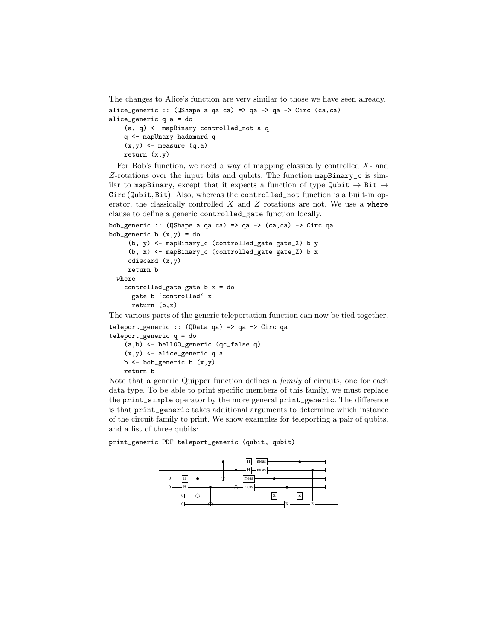The changes to Alice's function are very similar to those we have seen already.

```
alice_generic :: (QShape a qa ca) => qa -> qa -> Circ (ca,ca)
alice_generic q a = do
    (a, q) <- mapBinary controlled_not a q
    q <- mapUnary hadamard q
    (x,y) <- measure (q,a)return (x,y)
```
For Bob's function, we need a way of mapping classically controlled X- and Z-rotations over the input bits and qubits. The function mapBinary\_c is similar to mapBinary, except that it expects a function of type Qubit  $\rightarrow$  Bit  $\rightarrow$ Circ (Qubit, Bit). Also, whereas the controlled\_not function is a built-in operator, the classically controlled  $X$  and  $Z$  rotations are not. We use a where clause to define a generic controlled\_gate function locally.

```
bob_generic :: (QShape a qa ca) => qa -> (ca,ca) -> Circ qa
bob_generic b (x, y) = do(b, y) <- mapBinary_c (controlled_gate gate_X) b y
     (b, x) <- mapBinary_c (controlled_gate gate_Z) b x
     cdiscard (x,y)
    return b
 where
    controlled_gate gate b x = do
      gate b 'controlled' x
      return (b,x)
```
The various parts of the generic teleportation function can now be tied together.

```
teleport_generic :: (QData qa) => qa -> Circ qa
teleport_generic q = do
     (a,b) <- bell00_generic (qc_false q)
     (x,y) <- alice_generic q a
    b \leftarrow \text{bob\_generic } b \left( x, y \right)return b
```
Note that a generic Quipper function defines a family of circuits, one for each data type. To be able to print specific members of this family, we must replace the print\_simple operator by the more general print\_generic. The difference is that print\_generic takes additional arguments to determine which instance of the circuit family to print. We show examples for teleporting a pair of qubits, and a list of three qubits:

print\_generic PDF teleport\_generic (qubit, qubit)

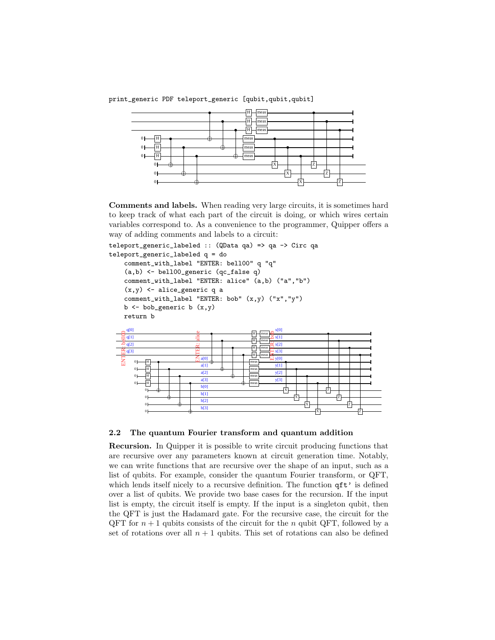print\_generic PDF teleport\_generic [qubit,qubit,qubit]



Comments and labels. When reading very large circuits, it is sometimes hard to keep track of what each part of the circuit is doing, or which wires certain variables correspond to. As a convenience to the programmer, Quipper offers a way of adding comments and labels to a circuit:

```
teleport_generic_labeled :: (QData qa) => qa -> Circ qa
teleport_generic_labeled q = do
       comment_with_label "ENTER: bell00" q "q"
       (a,b) <- bell00_generic (qc_false q)
       comment_with_label "ENTER: alice" (a,b) ("a","b")
       (x,y) <- alice_generic q a
       comment_with_label "ENTER: bob" (x,y) ("x","y")
       b \leftarrow \text{bob\_generic } b \left( x, y \right)return b
      ENTER: b = 100<br>\frac{q(0)}{q(2)}q[1]
        q[2]n[3]0
             0
             \bf{0}0
                 \overline{H}\overline{\mathbf{H}}H
                  H
                  \overline{0}0<sub>l</sub>0<sup>1</sup>\overline{0}ENTER: alice<br>a[0]
                                             a[1]
                                             a[2]
                                             a[3]
                                             b[0]
                                             b[1]
                                             b[2]
                                             b[3]
                                                                       H
                                                                       H
                                                                       H
                                                                       H
                                                                      meas
                                                                      meas
                                                                      meas
                                                                      meas
                                                                           meas
                                                                           meas
                                                                           meas
                                                                           meas
                                                                               \frac{8}{10} x [0]<br>\frac{1}{2} x [1]<br>\frac{1}{2} x [3]<br>\frac{1}{2} y [0]
                                                                                  x[1]
                                                                                  x[2]
                                                                                  x[3]
                                                                                  y[0]
                                                                                  y[1]
                                                                                  y[2]
                                                                                  y[3]
                                                                                     \sqrt{x}X
                                                                                                 X
                                                                                                      X
                                                                                                           Z
                                                                                                                Z
                                                                                                                      Z
                                                                                                                           Z
```
#### 2.2 The quantum Fourier transform and quantum addition

Recursion. In Quipper it is possible to write circuit producing functions that are recursive over any parameters known at circuit generation time. Notably, we can write functions that are recursive over the shape of an input, such as a list of qubits. For example, consider the quantum Fourier transform, or QFT, which lends itself nicely to a recursive definition. The function  $qft'$  is defined over a list of qubits. We provide two base cases for the recursion. If the input list is empty, the circuit itself is empty. If the input is a singleton qubit, then the QFT is just the Hadamard gate. For the recursive case, the circuit for the QFT for  $n+1$  qubits consists of the circuit for the n qubit QFT, followed by a set of rotations over all  $n + 1$  qubits. This set of rotations can also be defined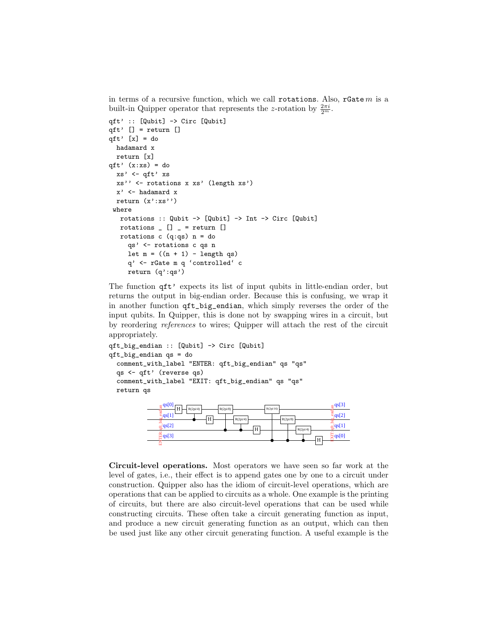in terms of a recursive function, which we call rotations. Also, rGate  $m$  is a built-in Quipper operator that represents the z-rotation by  $\frac{2\pi i}{2^m}$ .

```
qft' :: [Qubit] -> Circ [Qubit]
qft' [] = return []qft' [x] = dohadamard x
 return [x]
qft' (x:xs) = doxs' <- qft' xs
 xs'' <- rotations x xs' (length xs')
 x' <- hadamard x
 return (x':xs'')where
  rotations :: Qubit -> [Qubit] -> Int -> Circ [Qubit]
  rotations \Box \Box = return \Boxrotations c (q:qs) n = do
    qs' <- rotations c qs n
    let m = ((n + 1) - length qs)q' <- rGate m q 'controlled' c
    return (q':qs')
```
The function  $qft'$  expects its list of input qubits in little-endian order, but returns the output in big-endian order. Because this is confusing, we wrap it in another function qft\_big\_endian, which simply reverses the order of the input qubits. In Quipper, this is done not by swapping wires in a circuit, but by reordering references to wires; Quipper will attach the rest of the circuit appropriately.

```
qft_big_endian :: [Qubit] -> Circ [Qubit]
qft_big_endian qs = do
 comment_with_label "ENTER: qft_big_endian" qs "qs"
 qs <- qft' (reverse qs)
 comment_with_label "EXIT: qft_big_endian" qs "qs"
 return qs
```


Circuit-level operations. Most operators we have seen so far work at the level of gates, i.e., their effect is to append gates one by one to a circuit under construction. Quipper also has the idiom of circuit-level operations, which are operations that can be applied to circuits as a whole. One example is the printing of circuits, but there are also circuit-level operations that can be used while constructing circuits. These often take a circuit generating function as input, and produce a new circuit generating function as an output, which can then be used just like any other circuit generating function. A useful example is the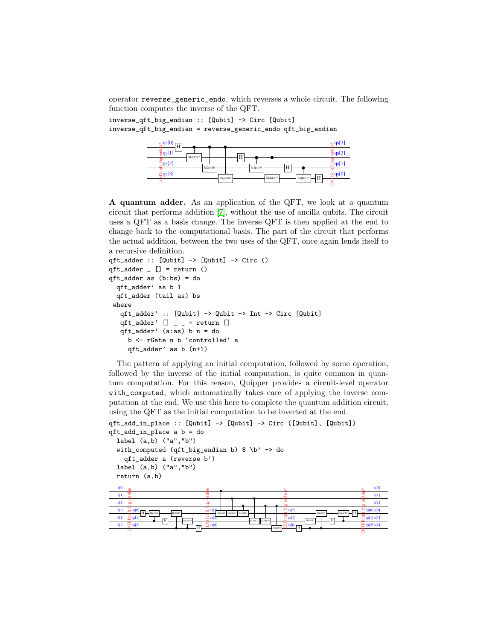operator reverse\_generic\_endo, which reverses a whole circuit. The following function computes the inverse of the QFT.

inverse\_qft\_big\_endian :: [Qubit] -> Circ [Qubit] inverse\_qft\_big\_endian = reverse\_generic\_endo qft\_big\_endian



A quantum adder. As an application of the QFT, we look at a quantum circuit that performs addition [\[7\]](#page-13-4), without the use of ancilla qubits. The circuit uses a QFT as a basis change. The inverse QFT is then applied at the end to change back to the computational basis. The part of the circuit that performs the actual addition, between the two uses of the QFT, once again lends itself to a recursive definition.

```
qft_adder :: [Qubit] -> [Qubit] -> Circ ()
qft\_adder \_ [] = return ()
qft_adder as (b:bs) = do
 qft_adder' as b 1
 qft_adder (tail as) bs
where
   qft_adder' :: [Qubit] -> Qubit -> Int -> Circ [Qubit]
  qft_adder' [] _ _ = return []
  qft_adder' (a:as) b n = do
    b <- rGate n b 'controlled' a
     qft_adder' as b (n+1)
```
The pattern of applying an initial computation, followed by some operation, followed by the inverse of the initial computation, is quite common in quantum computation. For this reason, Quipper provides a circuit-level operator with\_computed, which automatically takes care of applying the inverse computation at the end. We use this here to complete the quantum addition circuit, using the QFT as the initial computation to be inverted at the end.

```
qft_add_in_place :: [Qubit] -> [Qubit] -> Circ ([Qubit], [Qubit])
qft_add_in_place a b = do
 label (a,b) ("a","b")
  with_computed (qft_big_endian b) \phi \b' -> do
    qft_adder a (reverse b')
 label (a,b) ("a","b")
 return (a,b)
  a<sub>[0]</sub>
  a[1]
```
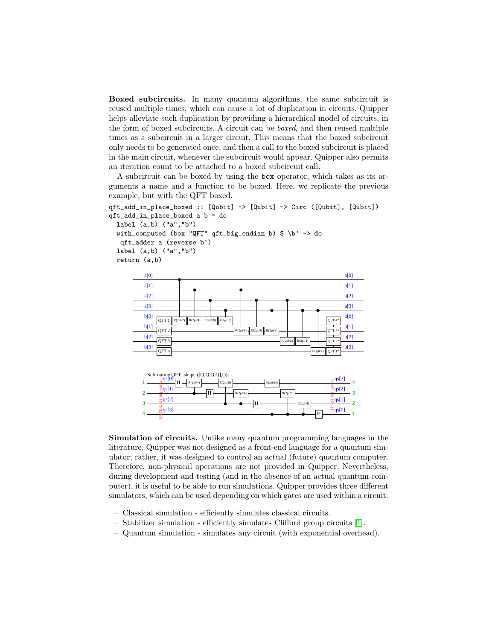Boxed subcircuits. In many quantum algorithms, the same subcircuit is reused multiple times, which can cause a lot of duplication in circuits. Quipper helps alleviate such duplication by providing a hierarchical model of circuits, in the form of boxed subcircuits. A circuit can be boxed, and then reused multiple times as a subcircuit in a larger circuit. This means that the boxed subcircuit only needs to be generated once, and then a call to the boxed subcircuit is placed in the main circuit, whenever the subcircuit would appear. Quipper also permits an iteration count to be attached to a boxed subcircuit call.

A subcircuit can be boxed by using the box operator, which takes as its arguments a name and a function to be boxed. Here, we replicate the previous example, but with the QFT boxed.

```
qft_add_in_place_boxed :: [Qubit] -> [Qubit] -> Circ ([Qubit], [Qubit])
qft_add_in_place_boxed a b = do
 label (a,b) ("a","b")
 with_computed (box "QFT" qft_big_endian b) $ \b' -> do
   qft_adder a (reverse b')
 label (a,b) ("a","b")
 return (a,b)
```


<span id="page-10-0"></span>Simulation of circuits. Unlike many quantum programming languages in the literature, Quipper was not designed as a front-end language for a quantum simulator; rather, it was designed to control an actual (future) quantum computer. Therefore, non-physical operations are not provided in Quipper. Nevertheless, during development and testing (and in the absence of an actual quantum computer), it is useful to be able to run simulations. Quipper provides three different simulators, which can be used depending on which gates are used within a circuit.

- Classical simulation efficiently simulates classical circuits.
- Stabilizer simulation efficiently simulates Clifford group circuits [\[1\]](#page-13-5).
- Quantum simulation simulates any circuit (with exponential overhead).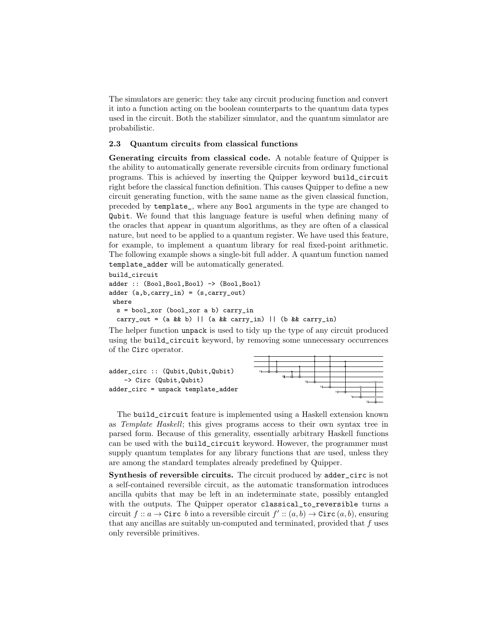The simulators are generic: they take any circuit producing function and convert it into a function acting on the boolean counterparts to the quantum data types used in the circuit. Both the stabilizer simulator, and the quantum simulator are probabilistic.

#### 2.3 Quantum circuits from classical functions

Generating circuits from classical code. A notable feature of Quipper is the ability to automatically generate reversible circuits from ordinary functional programs. This is achieved by inserting the Quipper keyword build\_circuit right before the classical function definition. This causes Quipper to define a new circuit generating function, with the same name as the given classical function, preceded by template\_, where any Bool arguments in the type are changed to Qubit. We found that this language feature is useful when defining many of the oracles that appear in quantum algorithms, as they are often of a classical nature, but need to be applied to a quantum register. We have used this feature, for example, to implement a quantum library for real fixed-point arithmetic. The following example shows a single-bit full adder. A quantum function named template\_adder will be automatically generated.

build\_circuit adder :: (Bool,Bool,Bool) -> (Bool,Bool) adder (a,b,carry\_in) = (s,carry\_out) where s = bool\_xor (bool\_xor a b) carry\_in carry\_out =  $(a & b) || (a & k & carry_in) || (b & k & carry_in)$ 

The helper function unpack is used to tidy up the type of any circuit produced using the build\_circuit keyword, by removing some unnecessary occurrences of the Circ operator.



The build\_circuit feature is implemented using a Haskell extension known as Template Haskell; this gives programs access to their own syntax tree in parsed form. Because of this generality, essentially arbitrary Haskell functions can be used with the build\_circuit keyword. However, the programmer must supply quantum templates for any library functions that are used, unless they are among the standard templates already predefined by Quipper.

Synthesis of reversible circuits. The circuit produced by adder\_circ is not a self-contained reversible circuit, as the automatic transformation introduces ancilla qubits that may be left in an indeterminate state, possibly entangled with the outputs. The Quipper operator classical\_to\_reversible turns a circuit  $f$  ::  $a \to \text{Circ } b$  into a reversible circuit  $f'$  ::  $(a, b) \to \text{Circ } (a, b)$ , ensuring that any ancillas are suitably un-computed and terminated, provided that  $f$  uses only reversible primitives.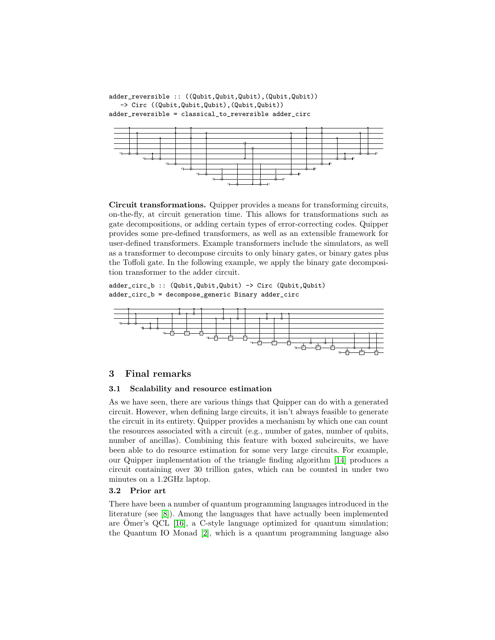```
adder_reversible :: ((Qubit,Qubit,Qubit),(Qubit,Qubit))
   -> Circ ((Qubit,Qubit,Qubit),(Qubit,Qubit))
adder_reversible = classical_to_reversible adder_circ
```


<span id="page-12-0"></span>Circuit transformations. Quipper provides a means for transforming circuits, on-the-fly, at circuit generation time. This allows for transformations such as gate decompositions, or adding certain types of error-correcting codes. Quipper provides some pre-defined transformers, as well as an extensible framework for user-defined transformers. Example transformers include the simulators, as well as a transformer to decompose circuits to only binary gates, or binary gates plus the Toffoli gate. In the following example, we apply the binary gate decomposition transformer to the adder circuit.

adder\_circ\_b :: (Qubit,Qubit,Qubit) -> Circ (Qubit,Qubit) adder\_circ\_b = decompose\_generic Binary adder\_circ



# 3 Final remarks

#### 3.1 Scalability and resource estimation

As we have seen, there are various things that Quipper can do with a generated circuit. However, when defining large circuits, it isn't always feasible to generate the circuit in its entirety. Quipper provides a mechanism by which one can count the resources associated with a circuit (e.g., number of gates, number of qubits, number of ancillas). Combining this feature with boxed subcircuits, we have been able to do resource estimation for some very large circuits. For example, our Quipper implementation of the triangle finding algorithm [\[14\]](#page-14-3) produces a circuit containing over 30 trillion gates, which can be counted in under two minutes on a 1.2GHz laptop.

#### 3.2 Prior art

There have been a number of quantum programming languages introduced in the literature (see [\[8\]](#page-13-6)). Among the languages that have actually been implemented are Omer's QCL  $[16]$ , a C-style language optimized for quantum simulation; the Quantum IO Monad [\[2\]](#page-13-7), which is a quantum programming language also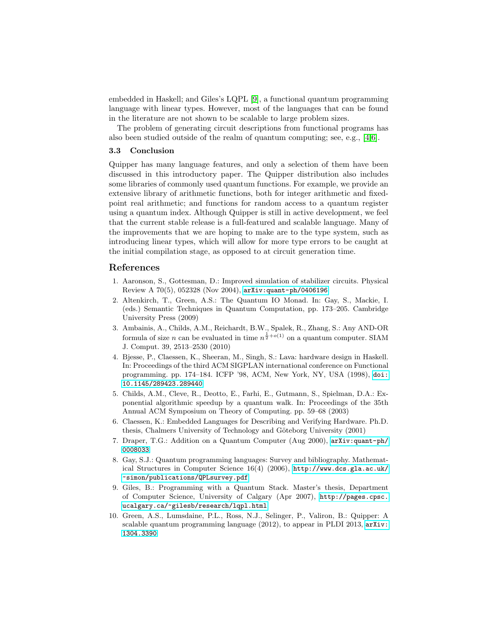embedded in Haskell; and Giles's LQPL [\[9\]](#page-13-8), a functional quantum programming language with linear types. However, most of the languages that can be found in the literature are not shown to be scalable to large problem sizes.

The problem of generating circuit descriptions from functional programs has also been studied outside of the realm of quantum computing; see, e.g., [\[4,](#page-13-9)[6\]](#page-13-3).

### 3.3 Conclusion

Quipper has many language features, and only a selection of them have been discussed in this introductory paper. The Quipper distribution also includes some libraries of commonly used quantum functions. For example, we provide an extensive library of arithmetic functions, both for integer arithmetic and fixedpoint real arithmetic; and functions for random access to a quantum register using a quantum index. Although Quipper is still in active development, we feel that the current stable release is a full-featured and scalable language. Many of the improvements that we are hoping to make are to the type system, such as introducing linear types, which will allow for more type errors to be caught at the initial compilation stage, as opposed to at circuit generation time.

# References

- <span id="page-13-5"></span>1. Aaronson, S., Gottesman, D.: Improved simulation of stabilizer circuits. Physical Review A 70(5), 052328 (Nov 2004), [arXiv:quant-ph/0406196](http://arxiv.org/abs/quant-ph/0406196)
- <span id="page-13-7"></span>2. Altenkirch, T., Green, A.S.: The Quantum IO Monad. In: Gay, S., Mackie, I. (eds.) Semantic Techniques in Quantum Computation, pp. 173–205. Cambridge University Press (2009)
- <span id="page-13-1"></span>3. Ambainis, A., Childs, A.M., Reichardt, B.W., Spalek, R., Zhang, S.: Any AND-OR formula of size *n* can be evaluated in time  $n^{\frac{1}{2}+o(1)}$  on a quantum computer. SIAM J. Comput. 39, 2513–2530 (2010)
- <span id="page-13-9"></span>4. Bjesse, P., Claessen, K., Sheeran, M., Singh, S.: Lava: hardware design in Haskell. In: Proceedings of the third ACM SIGPLAN international conference on Functional programming. pp. 174–184. ICFP '98, ACM, New York, NY, USA (1998), [doi:](http://dx.doi.org/10.1145/289423.289440) [10.1145/289423.289440](http://dx.doi.org/10.1145/289423.289440)
- <span id="page-13-2"></span>5. Childs, A.M., Cleve, R., Deotto, E., Farhi, E., Gutmann, S., Spielman, D.A.: Exponential algorithmic speedup by a quantum walk. In: Proceedings of the 35th Annual ACM Symposium on Theory of Computing. pp. 59–68 (2003)
- <span id="page-13-3"></span>6. Claessen, K.: Embedded Languages for Describing and Verifying Hardware. Ph.D. thesis, Chalmers University of Technology and Göteborg University (2001)
- <span id="page-13-4"></span>7. Draper, T.G.: Addition on a Quantum Computer (Aug 2000), [arXiv:quant-ph/](http://arxiv.org/abs/quant-ph/0008033) [0008033](http://arxiv.org/abs/quant-ph/0008033)
- <span id="page-13-6"></span>8. Gay, S.J.: Quantum programming languages: Survey and bibliography. Mathematical Structures in Computer Science 16(4) (2006), [http://www.dcs.gla.ac.uk/](http://www.dcs.gla.ac.uk/~simon/publications/QPLsurvey.pdf) [~simon/publications/QPLsurvey.pdf](http://www.dcs.gla.ac.uk/~simon/publications/QPLsurvey.pdf)
- <span id="page-13-8"></span>9. Giles, B.: Programming with a Quantum Stack. Master's thesis, Department of Computer Science, University of Calgary (Apr 2007), [http://pages.cpsc.](http://pages.cpsc.ucalgary.ca/~gilesb/research/lqpl.html) [ucalgary.ca/~gilesb/research/lqpl.html](http://pages.cpsc.ucalgary.ca/~gilesb/research/lqpl.html)
- <span id="page-13-0"></span>10. Green, A.S., Lumsdaine, P.L., Ross, N.J., Selinger, P., Valiron, B.: Quipper: A scalable quantum programming language  $(2012)$ , to appear in PLDI 2013,  $arXiv$ : [1304.3390](http://arxiv.org/abs/1304.3390)